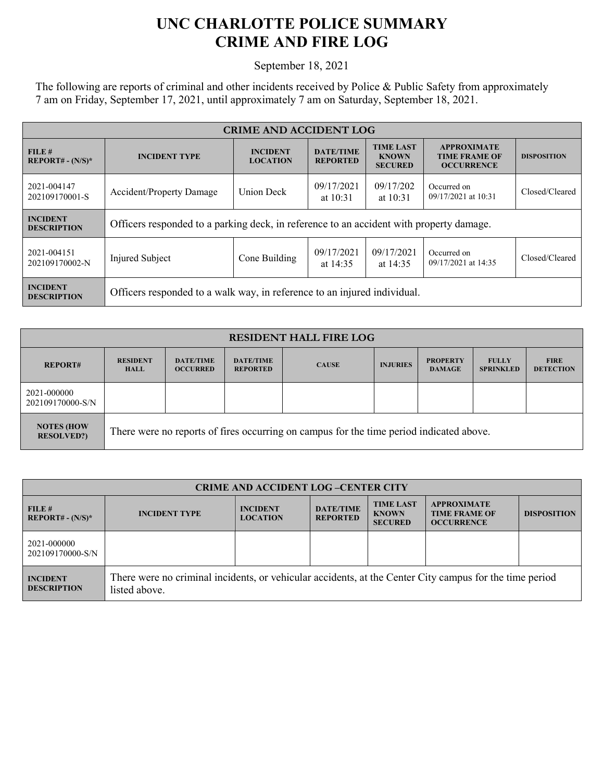## **UNC CHARLOTTE POLICE SUMMARY CRIME AND FIRE LOG**

September 18, 2021

The following are reports of criminal and other incidents received by Police & Public Safety from approximately 7 am on Friday, September 17, 2021, until approximately 7 am on Saturday, September 18, 2021.

| <b>CRIME AND ACCIDENT LOG</b>         |                                                                                                                                                         |               |                                                                 |                         |                                    |                |
|---------------------------------------|---------------------------------------------------------------------------------------------------------------------------------------------------------|---------------|-----------------------------------------------------------------|-------------------------|------------------------------------|----------------|
| FILE#<br>$REPORT# - (N/S)*$           | <b>TIME LAST</b><br><b>DATE/TIME</b><br><b>INCIDENT</b><br><b>INCIDENT TYPE</b><br><b>KNOWN</b><br><b>LOCATION</b><br><b>REPORTED</b><br><b>SECURED</b> |               | <b>APPROXIMATE</b><br><b>TIME FRAME OF</b><br><b>OCCURRENCE</b> | <b>DISPOSITION</b>      |                                    |                |
| 2021-004147<br>202109170001-S         | <b>Union Deck</b><br><b>Accident/Property Damage</b>                                                                                                    |               | 09/17/2021<br>at $10:31$                                        | 09/17/202<br>at $10:31$ | Occurred on<br>09/17/2021 at 10:31 | Closed/Cleared |
| <b>INCIDENT</b><br><b>DESCRIPTION</b> | Officers responded to a parking deck, in reference to an accident with property damage.                                                                 |               |                                                                 |                         |                                    |                |
| 2021-004151<br>202109170002-N         | Injured Subject                                                                                                                                         | Cone Building | 09/17/2021<br>at $14:35$                                        | 09/17/2021<br>at 14:35  | Occurred on<br>09/17/2021 at 14:35 | Closed/Cleared |
| <b>INCIDENT</b><br><b>DESCRIPTION</b> | Officers responded to a walk way, in reference to an injured individual.                                                                                |               |                                                                 |                         |                                    |                |

| <b>RESIDENT HALL FIRE LOG</b>           |                                                                                         |                                     |                                     |              |                 |                                  |                                  |                                 |
|-----------------------------------------|-----------------------------------------------------------------------------------------|-------------------------------------|-------------------------------------|--------------|-----------------|----------------------------------|----------------------------------|---------------------------------|
| <b>REPORT#</b>                          | <b>RESIDENT</b><br><b>HALL</b>                                                          | <b>DATE/TIME</b><br><b>OCCURRED</b> | <b>DATE/TIME</b><br><b>REPORTED</b> | <b>CAUSE</b> | <b>INJURIES</b> | <b>PROPERTY</b><br><b>DAMAGE</b> | <b>FULLY</b><br><b>SPRINKLED</b> | <b>FIRE</b><br><b>DETECTION</b> |
| 2021-000000<br>202109170000-S/N         |                                                                                         |                                     |                                     |              |                 |                                  |                                  |                                 |
| <b>NOTES (HOW)</b><br><b>RESOLVED?)</b> | There were no reports of fires occurring on campus for the time period indicated above. |                                     |                                     |              |                 |                                  |                                  |                                 |

| <b>CRIME AND ACCIDENT LOG-CENTER CITY</b> |                                                                                                                          |                                    |                                     |                                                    |                                                                 |                    |
|-------------------------------------------|--------------------------------------------------------------------------------------------------------------------------|------------------------------------|-------------------------------------|----------------------------------------------------|-----------------------------------------------------------------|--------------------|
| FILE H<br>$REPORT# - (N/S)*$              | <b>INCIDENT TYPE</b>                                                                                                     | <b>INCIDENT</b><br><b>LOCATION</b> | <b>DATE/TIME</b><br><b>REPORTED</b> | <b>TIME LAST</b><br><b>KNOWN</b><br><b>SECURED</b> | <b>APPROXIMATE</b><br><b>TIME FRAME OF</b><br><b>OCCURRENCE</b> | <b>DISPOSITION</b> |
| 2021-000000<br>202109170000-S/N           |                                                                                                                          |                                    |                                     |                                                    |                                                                 |                    |
| <b>INCIDENT</b><br><b>DESCRIPTION</b>     | There were no criminal incidents, or vehicular accidents, at the Center City campus for the time period<br>listed above. |                                    |                                     |                                                    |                                                                 |                    |